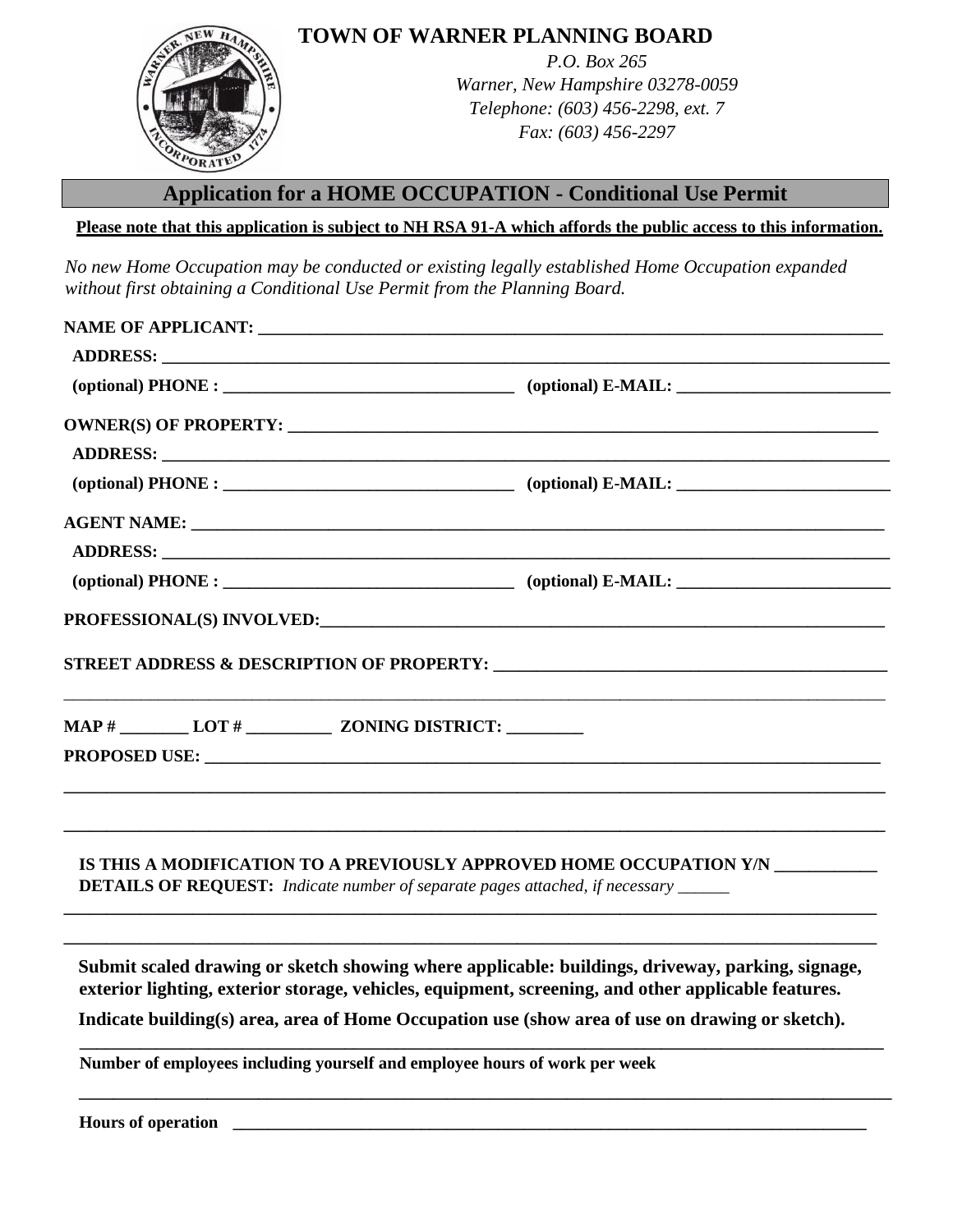

**TOWN OF WARNER PLANNING BOARD**

*P.O. Box 265 Warner, New Hampshire 03278-0059 Telephone: (603) 456-2298, ext. 7 Fax: (603) 456-2297*

## **Application for a HOME OCCUPATION - Conditional Use Permit**

**Please note that this application is subject to NH RSA 91-A which affords the public access to this information.**

*No new Home Occupation may be conducted or existing legally established Home Occupation expanded without first obtaining a Conditional Use Permit from the Planning Board.* 

|                                                                            | $(optional) PHONE:$ [0ptional] $E\text{-}MAL:$ [2013] $E\text{-}MAL:$ [2014] $(optional) E\text{-}MAL:$ [2014] $(Chiral) E\text{-}MALI:$                                                                                      |
|----------------------------------------------------------------------------|-------------------------------------------------------------------------------------------------------------------------------------------------------------------------------------------------------------------------------|
|                                                                            |                                                                                                                                                                                                                               |
|                                                                            |                                                                                                                                                                                                                               |
|                                                                            | $(optional) PHONE:$ (optional) $E\text{-}MAIL:$                                                                                                                                                                               |
|                                                                            |                                                                                                                                                                                                                               |
|                                                                            |                                                                                                                                                                                                                               |
|                                                                            | $(optional) PHONE:$ (optional) $E\text{-}MAIL:$                                                                                                                                                                               |
|                                                                            | PROFESSIONAL(S) INVOLVED: The contract of the contract of the contract of the contract of the contract of the contract of the contract of the contract of the contract of the contract of the contract of the contract of the |
|                                                                            |                                                                                                                                                                                                                               |
|                                                                            |                                                                                                                                                                                                                               |
|                                                                            | IS THIS A MODIFICATION TO A PREVIOUSLY APPROVED HOME OCCUPATION Y/N<br><b>DETAILS OF REQUEST:</b> Indicate number of separate pages attached, if necessary                                                                    |
|                                                                            | Submit scaled drawing or sketch showing where applicable: buildings, driveway, parking, signage,<br>exterior lighting, exterior storage, vehicles, equipment, screening, and other applicable features.                       |
|                                                                            | Indicate building(s) area, area of Home Occupation use (show area of use on drawing or sketch).                                                                                                                               |
| Number of employees including yourself and employee hours of work per week |                                                                                                                                                                                                                               |
|                                                                            |                                                                                                                                                                                                                               |

**Hours of operation \_\_\_\_\_\_\_\_\_\_\_\_\_\_\_\_\_\_\_\_\_\_\_\_\_\_\_\_\_\_\_\_\_\_\_\_\_\_\_\_\_\_\_\_\_\_\_\_\_\_\_\_\_\_\_\_\_\_\_\_\_\_\_\_\_\_\_\_\_\_\_\_\_\_**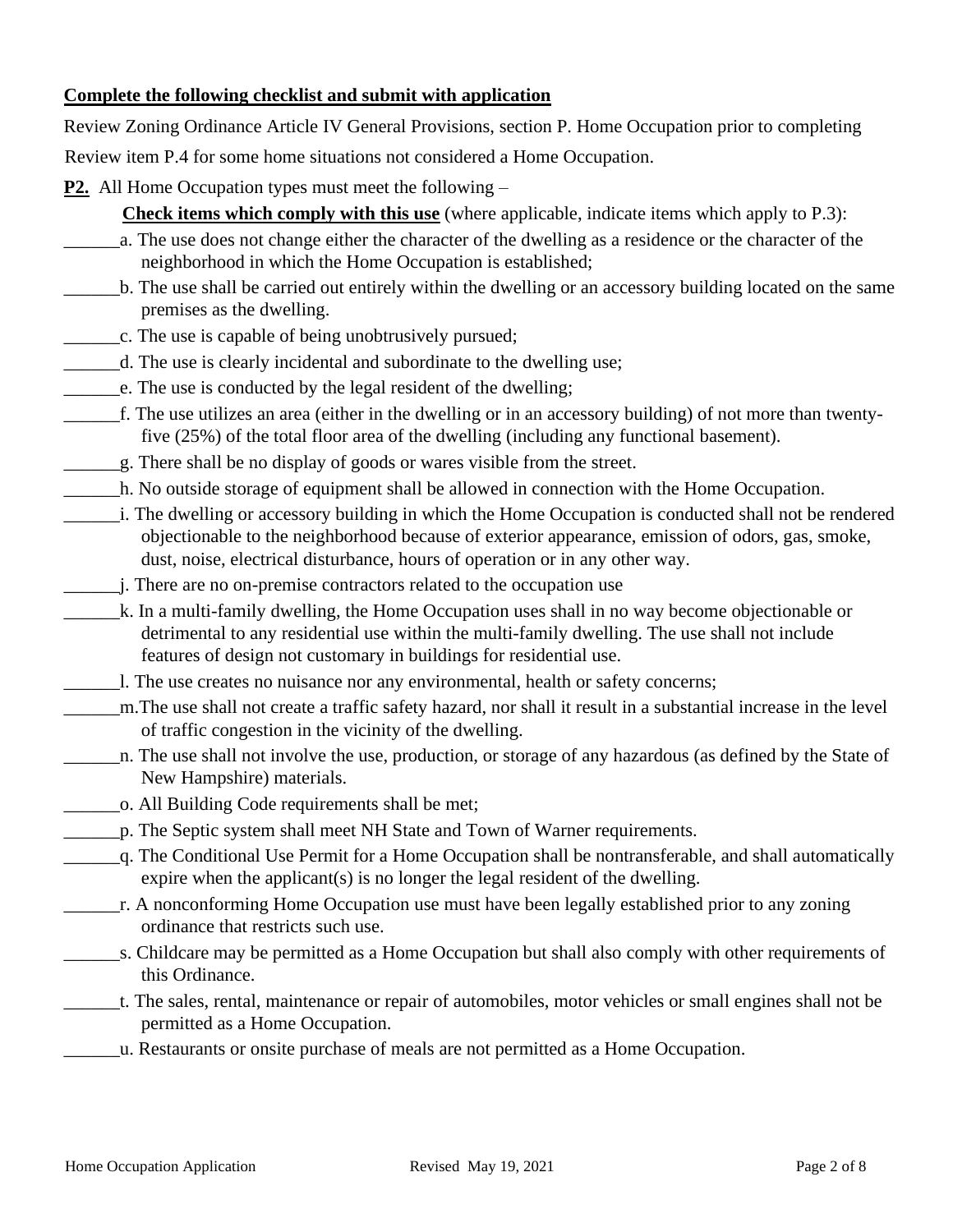## **Complete the following checklist and submit with application**

Review Zoning Ordinance Article IV General Provisions, section P. Home Occupation prior to completing

Review item P.4 for some home situations not considered a Home Occupation.

- **P2.** All Home Occupation types must meet the following
	- **Check items which comply with this use** (where applicable, indicate items which apply to P.3):
	- \_\_\_\_\_\_a. The use does not change either the character of the dwelling as a residence or the character of the neighborhood in which the Home Occupation is established;
- \_\_\_\_\_\_b. The use shall be carried out entirely within the dwelling or an accessory building located on the same premises as the dwelling.
- \_\_\_\_\_\_c. The use is capable of being unobtrusively pursued;
- d. The use is clearly incidental and subordinate to the dwelling use;
- \_\_\_\_\_\_e. The use is conducted by the legal resident of the dwelling;
- \_\_\_\_\_\_f. The use utilizes an area (either in the dwelling or in an accessory building) of not more than twentyfive (25%) of the total floor area of the dwelling (including any functional basement).
- \_\_\_\_\_\_g. There shall be no display of goods or wares visible from the street.
- \_\_\_\_\_\_h. No outside storage of equipment shall be allowed in connection with the Home Occupation.
- \_\_\_\_\_\_i. The dwelling or accessory building in which the Home Occupation is conducted shall not be rendered objectionable to the neighborhood because of exterior appearance, emission of odors, gas, smoke, dust, noise, electrical disturbance, hours of operation or in any other way.
	- \_\_\_\_\_\_j. There are no on-premise contractors related to the occupation use
- \_\_\_\_\_\_k. In a multi-family dwelling, the Home Occupation uses shall in no way become objectionable or detrimental to any residential use within the multi-family dwelling. The use shall not include features of design not customary in buildings for residential use.
- \_\_\_\_\_\_l. The use creates no nuisance nor any environmental, health or safety concerns;
- \_\_\_\_\_\_m.The use shall not create a traffic safety hazard, nor shall it result in a substantial increase in the level of traffic congestion in the vicinity of the dwelling.
- \_\_\_\_\_\_n. The use shall not involve the use, production, or storage of any hazardous (as defined by the State of New Hampshire) materials.
- \_\_\_\_\_\_o. All Building Code requirements shall be met;
- \_\_\_\_\_\_p. The Septic system shall meet NH State and Town of Warner requirements.
- \_\_\_\_\_\_q. The Conditional Use Permit for a Home Occupation shall be nontransferable, and shall automatically expire when the applicant(s) is no longer the legal resident of the dwelling.
- \_\_\_\_\_\_r. A nonconforming Home Occupation use must have been legally established prior to any zoning ordinance that restricts such use.
- \_\_\_\_\_\_s. Childcare may be permitted as a Home Occupation but shall also comply with other requirements of this Ordinance.
- \_\_\_\_\_\_t. The sales, rental, maintenance or repair of automobiles, motor vehicles or small engines shall not be permitted as a Home Occupation.
- \_\_\_\_\_\_u. Restaurants or onsite purchase of meals are not permitted as a Home Occupation.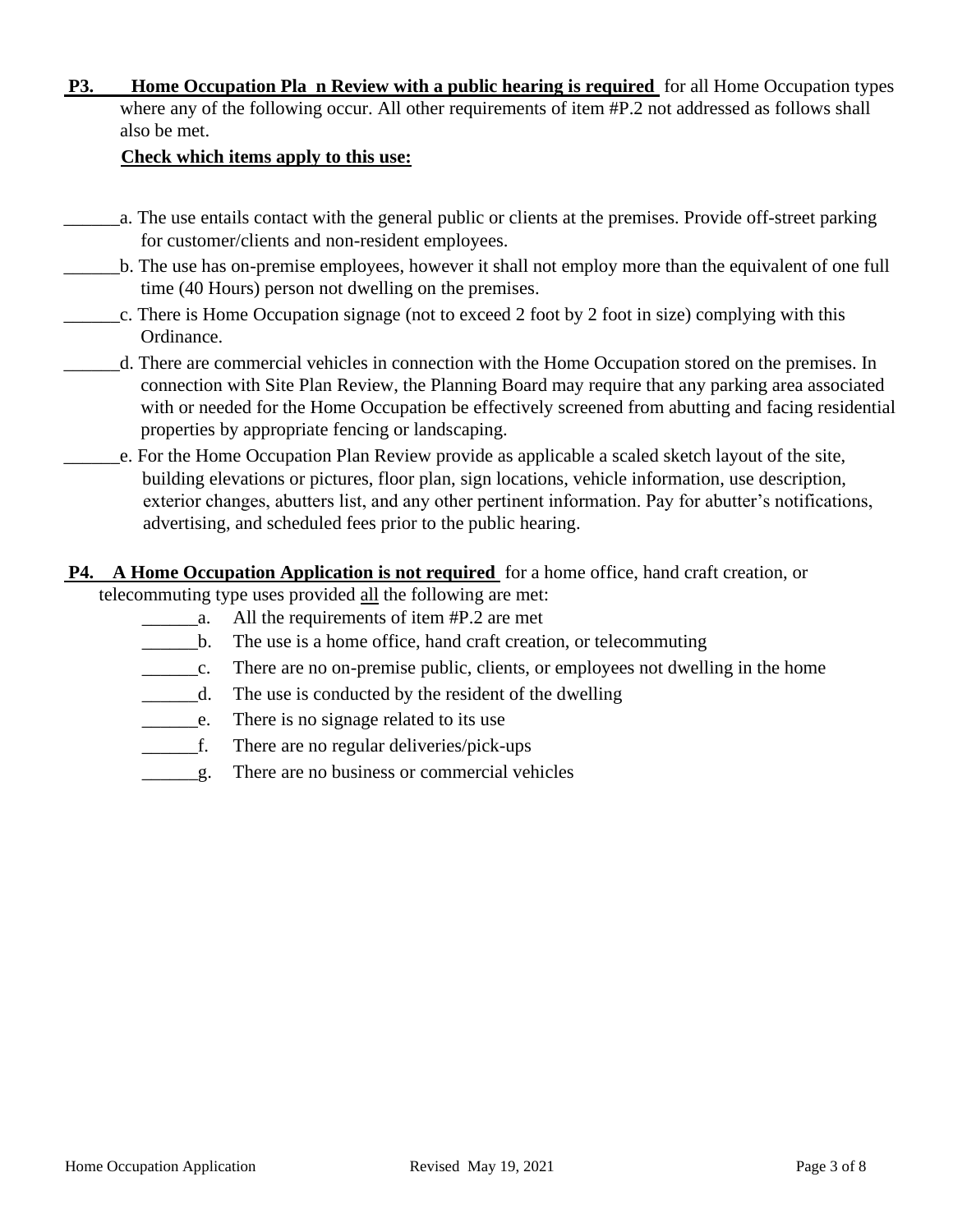**P3. Home Occupation Pla n Review with a public hearing is required** for all Home Occupation types where any of the following occur. All other requirements of item #P.2 not addressed as follows shall also be met.

### **Check which items apply to this use:**

- \_\_\_\_\_\_a. The use entails contact with the general public or clients at the premises. Provide off-street parking for customer/clients and non-resident employees.
- \_\_\_\_\_\_b. The use has on-premise employees, however it shall not employ more than the equivalent of one full time (40 Hours) person not dwelling on the premises.
- \_\_\_\_\_\_c. There is Home Occupation signage (not to exceed 2 foot by 2 foot in size) complying with this Ordinance.
- \_\_\_\_\_\_d. There are commercial vehicles in connection with the Home Occupation stored on the premises. In connection with Site Plan Review, the Planning Board may require that any parking area associated with or needed for the Home Occupation be effectively screened from abutting and facing residential properties by appropriate fencing or landscaping.
- \_\_\_\_\_\_e. For the Home Occupation Plan Review provide as applicable a scaled sketch layout of the site, building elevations or pictures, floor plan, sign locations, vehicle information, use description, exterior changes, abutters list, and any other pertinent information. Pay for abutter's notifications, advertising, and scheduled fees prior to the public hearing.
- **P4. A Home Occupation Application is not required** for a home office, hand craft creation, or telecommuting type uses provided all the following are met:
	- \_\_\_\_\_\_a. All the requirements of item #P.2 are met
	- \_\_\_\_\_\_b. The use is a home office, hand craft creation, or telecommuting
	- \_\_\_\_\_\_c. There are no on-premise public, clients, or employees not dwelling in the home
	- \_\_\_\_\_\_d. The use is conducted by the resident of the dwelling
	- \_\_\_\_\_\_e. There is no signage related to its use
	- \_\_\_\_\_\_f. There are no regular deliveries/pick-ups
	- \_\_\_\_\_\_g. There are no business or commercial vehicles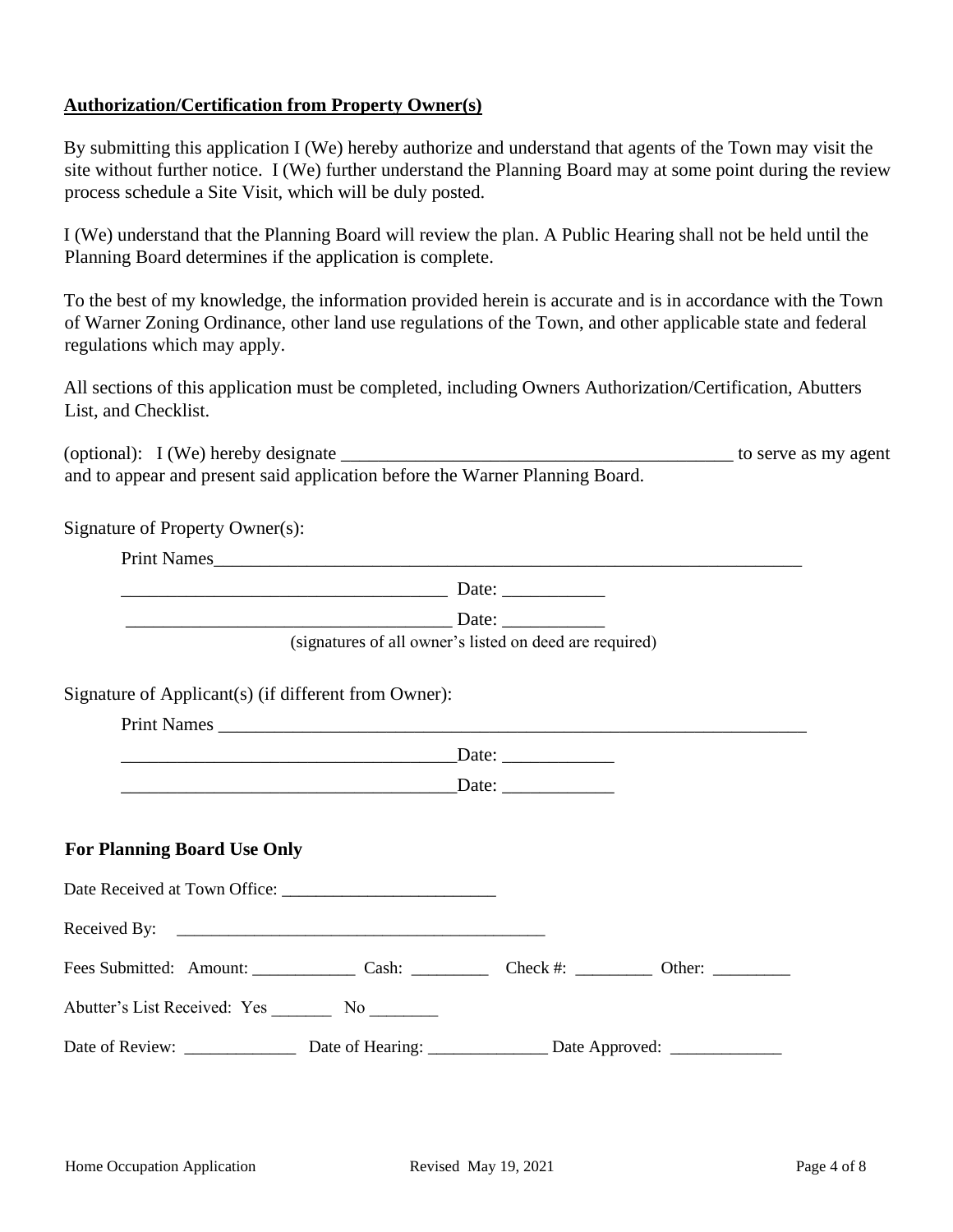### **Authorization/Certification from Property Owner(s)**

By submitting this application I (We) hereby authorize and understand that agents of the Town may visit the site without further notice. I (We) further understand the Planning Board may at some point during the review process schedule a Site Visit, which will be duly posted.

I (We) understand that the Planning Board will review the plan. A Public Hearing shall not be held until the Planning Board determines if the application is complete.

To the best of my knowledge, the information provided herein is accurate and is in accordance with the Town of Warner Zoning Ordinance, other land use regulations of the Town, and other applicable state and federal regulations which may apply.

All sections of this application must be completed, including Owners Authorization/Certification, Abutters List, and Checklist.

| (optional): I (We) hereby designate                                          | to serve as my agent |
|------------------------------------------------------------------------------|----------------------|
| and to appear and present said application before the Warner Planning Board. |                      |

| Signature of Property Owner(s):                                            |                                                         |  |
|----------------------------------------------------------------------------|---------------------------------------------------------|--|
| Print Names                                                                |                                                         |  |
|                                                                            |                                                         |  |
|                                                                            |                                                         |  |
|                                                                            | (signatures of all owner's listed on deed are required) |  |
| Signature of Applicant(s) (if different from Owner):                       |                                                         |  |
|                                                                            |                                                         |  |
|                                                                            |                                                         |  |
|                                                                            |                                                         |  |
|                                                                            |                                                         |  |
| <b>For Planning Board Use Only</b>                                         |                                                         |  |
|                                                                            |                                                         |  |
|                                                                            |                                                         |  |
| Fees Submitted: Amount: Cash: Cash: Check #: Check #: Other: Check #: 2011 |                                                         |  |
| Abutter's List Received: Yes _________ No _________                        |                                                         |  |
|                                                                            |                                                         |  |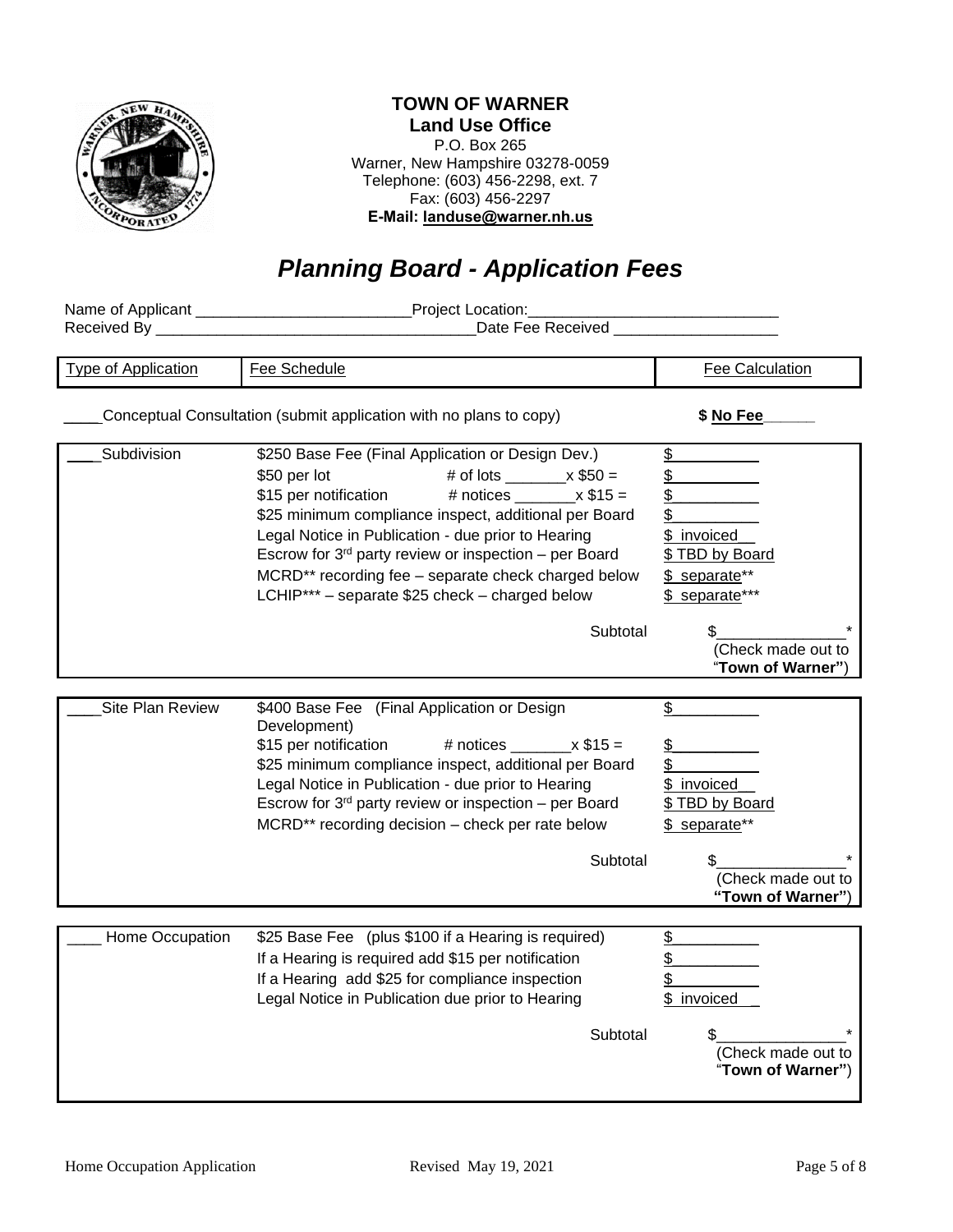

## **TOWN OF WARNER**

**Land Use Office** P.O. Box 265 Warner, New Hampshire 03278-0059 Telephone: (603) 456-2298, ext. 7 Fax: (603) 456-2297 **E-Mail: landuse@warner.nh.us**

# *Planning Board - Application Fees*

|                            | Project Location:                                                                                                                                                                                                                                                                                                                                                                                                                                         |                                                                                                      |  |
|----------------------------|-----------------------------------------------------------------------------------------------------------------------------------------------------------------------------------------------------------------------------------------------------------------------------------------------------------------------------------------------------------------------------------------------------------------------------------------------------------|------------------------------------------------------------------------------------------------------|--|
| Received By _              | <b>Example 19 Date Fee Received</b> Property 2014 19:30 Pate Fee Received                                                                                                                                                                                                                                                                                                                                                                                 |                                                                                                      |  |
|                            |                                                                                                                                                                                                                                                                                                                                                                                                                                                           |                                                                                                      |  |
| <b>Type of Application</b> | Fee Schedule                                                                                                                                                                                                                                                                                                                                                                                                                                              | Fee Calculation                                                                                      |  |
|                            | Conceptual Consultation (submit application with no plans to copy)                                                                                                                                                                                                                                                                                                                                                                                        | \$ No Fee                                                                                            |  |
| Subdivision                | \$250 Base Fee (Final Application or Design Dev.)<br># of lots _________ x $$50 =$<br>\$50 per lot<br>\$15 per notification<br># notices $\_\_\_\_$ x \$15 =<br>\$25 minimum compliance inspect, additional per Board<br>Legal Notice in Publication - due prior to Hearing<br>Escrow for 3 <sup>rd</sup> party review or inspection - per Board<br>MCRD** recording fee - separate check charged below<br>LCHIP*** - separate \$25 check - charged below | \$<br>\$<br>$\frac{1}{2}$<br>\$<br>\$ invoiced<br>\$ TBD by Board<br>\$ separate**<br>\$ separate*** |  |
|                            | Subtotal                                                                                                                                                                                                                                                                                                                                                                                                                                                  | (Check made out to<br>"Town of Warner")                                                              |  |
|                            |                                                                                                                                                                                                                                                                                                                                                                                                                                                           |                                                                                                      |  |
| Site Plan Review           | \$400 Base Fee (Final Application or Design<br>Development)<br>\$15 per notification<br># notices $x $15 =$<br>\$25 minimum compliance inspect, additional per Board<br>Legal Notice in Publication - due prior to Hearing<br>Escrow for 3 <sup>rd</sup> party review or inspection - per Board<br>MCRD** recording decision - check per rate below                                                                                                       | \$<br>\$<br>$\frac{2}{2}$<br>\$ invoiced<br>\$ TBD by Board<br>\$ separate**                         |  |
|                            | Subtotal                                                                                                                                                                                                                                                                                                                                                                                                                                                  | \$<br>(Check made out to<br>"Town of Warner")                                                        |  |
|                            |                                                                                                                                                                                                                                                                                                                                                                                                                                                           |                                                                                                      |  |
| Home Occupation            | \$25 Base Fee (plus \$100 if a Hearing is required)<br>If a Hearing is required add \$15 per notification<br>If a Hearing add \$25 for compliance inspection<br>Legal Notice in Publication due prior to Hearing                                                                                                                                                                                                                                          | $\frac{1}{2}$<br>\$<br>\$<br>\$ invoiced                                                             |  |
|                            | Subtotal                                                                                                                                                                                                                                                                                                                                                                                                                                                  | (Check made out to<br>"Town of Warner")                                                              |  |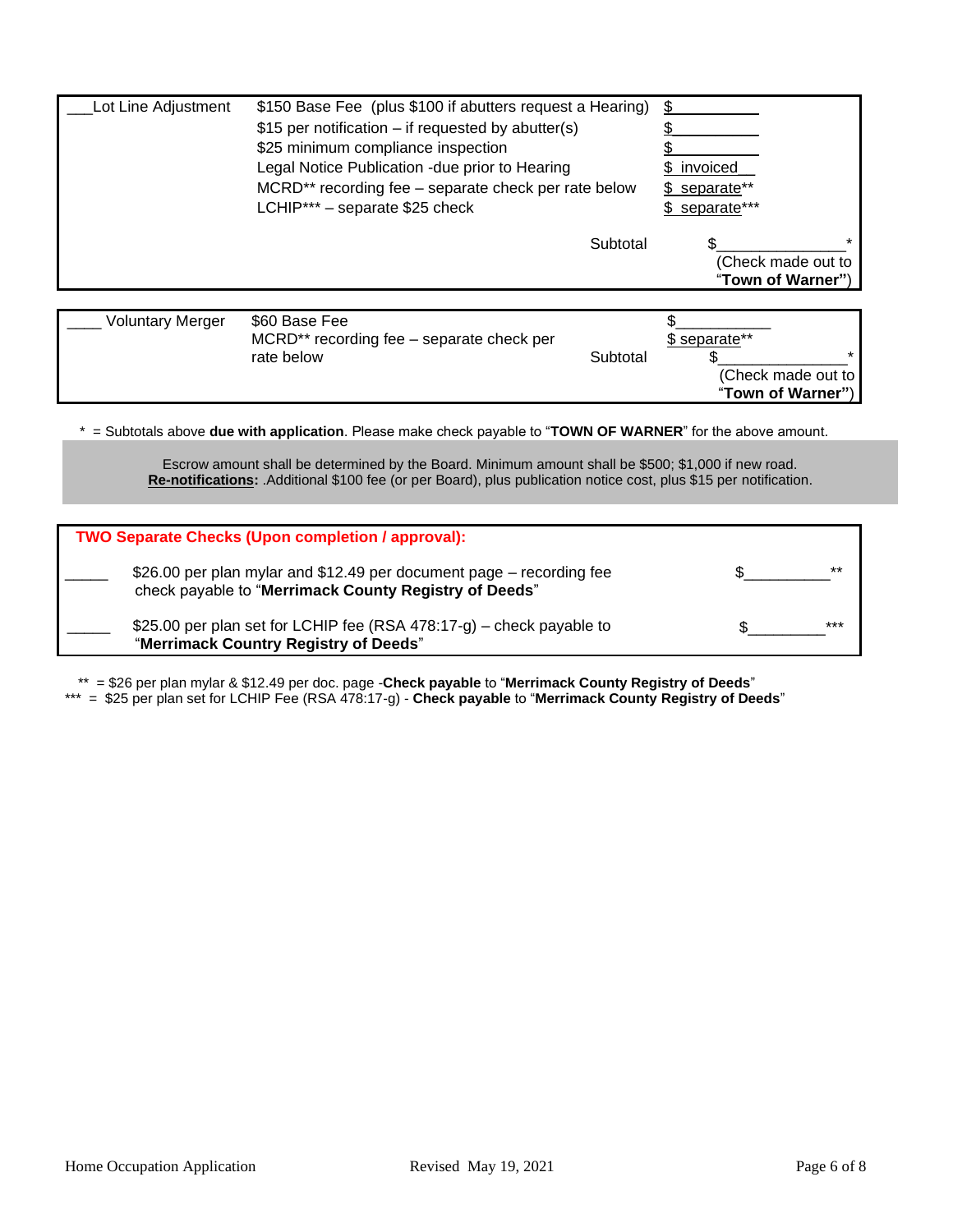| Lot Line Adjustment                                             | \$150 Base Fee (plus \$100 if abutters request a Hearing)<br>\$15 per notification – if requested by abutter(s)<br>\$25 minimum compliance inspection<br>Legal Notice Publication - due prior to Hearing<br>MCRD** recording fee - separate check per rate below<br>LCHIP*** - separate \$25 check | \$ invoiced<br>\$ separate**<br>\$ separate*** |
|-----------------------------------------------------------------|----------------------------------------------------------------------------------------------------------------------------------------------------------------------------------------------------------------------------------------------------------------------------------------------------|------------------------------------------------|
|                                                                 | Subtotal                                                                                                                                                                                                                                                                                           | (Check made out to<br>"Town of Warner")        |
| $\mathbf{M}$ and $\mathbf{M}$ and $\mathbf{M}$ and $\mathbf{M}$ | $\wedge$ $\wedge$ $\wedge$ $\wedge$ $\wedge$ $\wedge$ $\wedge$ $\wedge$                                                                                                                                                                                                                            | $\triangle$                                    |

| <b>Voluntary Merger</b> | \$60 Base Fee                                         |          |                    |
|-------------------------|-------------------------------------------------------|----------|--------------------|
|                         | MCRD <sup>**</sup> recording fee – separate check per |          | \$ separate**      |
|                         | rate below                                            | Subtotal |                    |
|                         |                                                       |          | (Check made out to |
|                         |                                                       |          | "Town of Warner")  |

\* = Subtotals above **due with application**. Please make check payable to "**TOWN OF WARNER**" for the above amount.

Escrow amount shall be determined by the Board. Minimum amount shall be \$500; \$1,000 if new road. **Re-notifications:** .Additional \$100 fee (or per Board), plus publication notice cost, plus \$15 per notification.

| <b>TWO Separate Checks (Upon completion / approval):</b>                                                                      |      |
|-------------------------------------------------------------------------------------------------------------------------------|------|
| \$26.00 per plan mylar and \$12.49 per document page – recording fee<br>check payable to "Merrimack County Registry of Deeds" | $**$ |
| \$25.00 per plan set for LCHIP fee (RSA 478:17-g) – check payable to<br>"Merrimack Country Registry of Deeds"                 | ***  |

\*\* = \$26 per plan mylar & \$12.49 per doc. page -**Check payable** to "**Merrimack County Registry of Deeds**"

\*\*\* = \$25 per plan set for LCHIP Fee (RSA 478:17-g) - **Check payable** to "**Merrimack County Registry of Deeds**"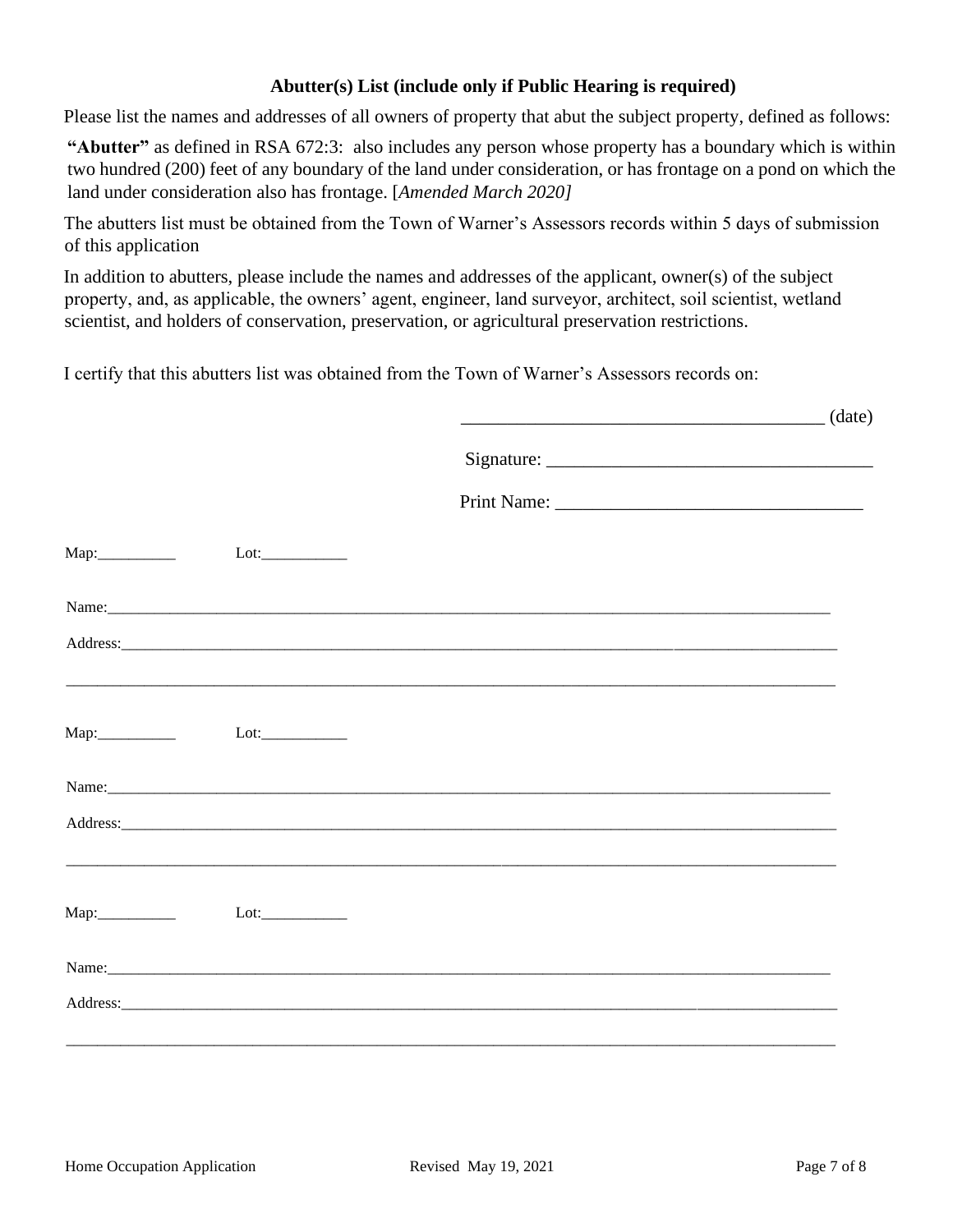## **Abutter(s) List (include only if Public Hearing is required)**

Please list the names and addresses of all owners of property that abut the subject property, defined as follows:

**"Abutter"** as defined in RSA 672:3: also includes any person whose property has a boundary which is within two hundred (200) feet of any boundary of the land under consideration, or has frontage on a pond on which the land under consideration also has frontage. [*Amended March 2020]*

The abutters list must be obtained from the Town of Warner's Assessors records within 5 days of submission of this application

In addition to abutters, please include the names and addresses of the applicant, owner(s) of the subject property, and, as applicable, the owners' agent, engineer, land surveyor, architect, soil scientist, wetland scientist, and holders of conservation, preservation, or agricultural preservation restrictions.

I certify that this abutters list was obtained from the Town of Warner's Assessors records on:

 $_1$  (date)

|  | Name: Name: New York Contract the Contract of the Contract of the Contract of the Contract of the Contract of the Contract of the Contract of the Contract of the Contract of the Contract of the Contract of the Contract of |  |
|--|-------------------------------------------------------------------------------------------------------------------------------------------------------------------------------------------------------------------------------|--|
|  |                                                                                                                                                                                                                               |  |
|  |                                                                                                                                                                                                                               |  |